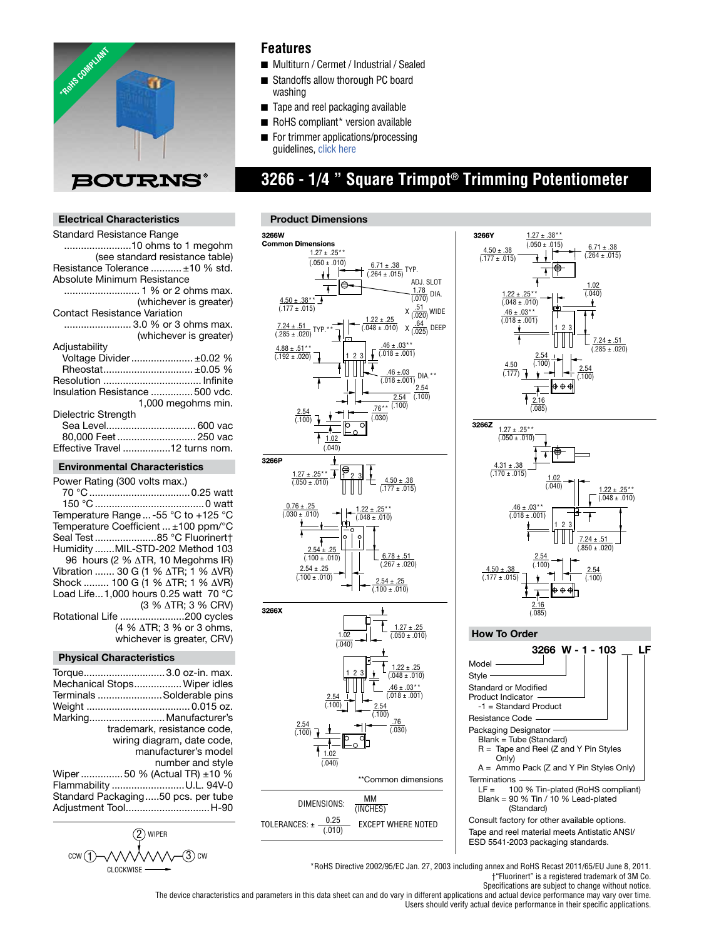

## **Features**

- Multiturn / Cermet / Industrial / Sealed
- Standoffs allow thorough PC board washing
- $\blacksquare$  Tape and reel packaging available
- $\blacksquare$  RoHS compliant\* version available
- For trimmer [applications/pro](http://www.bourns.com/data/global/pdfs/ap_proc.pdf)cessing guidelines, click here

# **3266 - 1/4 " Square Trimpot® Trimming Potentiometer**

### **Electrical Characteristics**

| Standard Resistance Range           |  |
|-------------------------------------|--|
| 10 ohms to 1 megohm                 |  |
| (see standard resistance table)     |  |
| Resistance Tolerance  ±10 % std.    |  |
| Absolute Minimum Resistance         |  |
|                                     |  |
| (whichever is greater)              |  |
| <b>Contact Resistance Variation</b> |  |
| 3.0 % or 3 ohms max.                |  |
| (whichever is greater)              |  |
| Adjustability                       |  |
| Voltage Divider  ±0.02 %            |  |
| Rheostat ±0.05 %                    |  |
|                                     |  |
| Insulation Resistance 500 vdc.      |  |
| 1,000 megohms min.                  |  |
| Dielectric Strength                 |  |
| Sea Level 600 vac                   |  |
| 80,000 Feet 250 vac                 |  |
| Effective Travel 12 turns nom.      |  |
|                                     |  |

## **Environmental Characteristics**

| Power Rating (300 volts max.)                      |
|----------------------------------------------------|
|                                                    |
|                                                    |
| Temperature Range  -55 °C to +125 °C               |
| Temperature Coefficient $\pm 100$ ppm/ $\degree$ C |
| Seal Test85 °C Fluorinert†                         |
| Humidity MIL-STD-202 Method 103                    |
| 96 hours (2 % $\triangle$ TR, 10 Megohms IR)       |
| Vibration  30 G (1 % ΔTR; 1 % ΔVR)                 |
| Shock  100 G (1 % ΔTR; 1 % ΔVR)                    |
| Load Life1,000 hours 0.25 watt 70 $^{\circ}$ C     |
| (3 % $\triangle$ TR; 3 % CRV)                      |
| Rotational Life 200 cycles                         |
| (4 % $\triangle$ TR; 3 % or 3 ohms,                |
| whichever is greater, CRV)                         |
|                                                    |

#### **Physical Characteristics**

| Torque3.0 oz-in. max.              |
|------------------------------------|
| Mechanical Stops Wiper idles       |
| Terminals Solderable pins          |
|                                    |
|                                    |
| Marking Manufacturer's             |
| trademark, resistance code,        |
| wiring diagram, date code,         |
|                                    |
| manufacturer's model               |
| number and style                   |
| Wiper 50 % (Actual TR) $\pm$ 10 %  |
|                                    |
| Flammability U.L. 94V-0            |
| Standard Packaging50 pcs. per tube |
|                                    |
| Adjustment ToolH-90                |
|                                    |









\*RoHS Directive 2002/95/EC Jan. 27, 2003 including annex and RoHS Recast 2011/65/EU June 8, 2011. †"Fluorinert" is a registered trademark of 3M Co.

Specifications are subject to change without notice.

The device characteristics and parameters in this data sheet can and do vary in different applications and actual device performance may vary over time. Users should verify actual device performance in their specific applications.